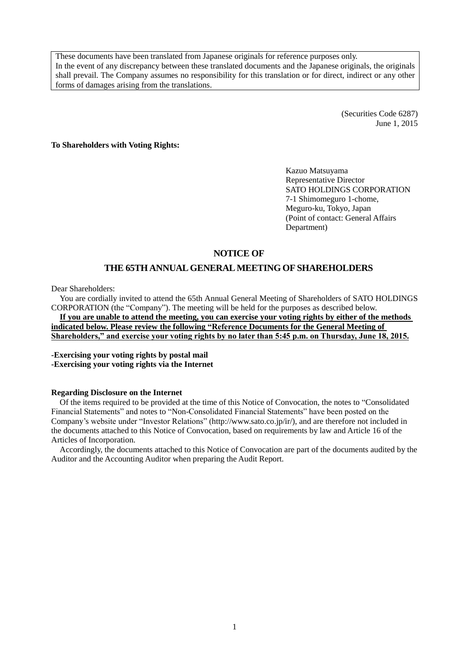These documents have been translated from Japanese originals for reference purposes only. In the event of any discrepancy between these translated documents and the Japanese originals, the originals shall prevail. The Company assumes no responsibility for this translation or for direct, indirect or any other forms of damages arising from the translations.

> (Securities Code 6287) June 1, 2015

**To Shareholders with Voting Rights:**

Kazuo Matsuyama Representative Director SATO HOLDINGS CORPORATION 7-1 Shimomeguro 1-chome, Meguro-ku, Tokyo, Japan (Point of contact: General Affairs Department)

## **NOTICE OF**

## **THE 65TH ANNUAL GENERAL MEETING OF SHAREHOLDERS**

Dear Shareholders:

You are cordially invited to attend the 65th Annual General Meeting of Shareholders of SATO HOLDINGS CORPORATION (the "Company"). The meeting will be held for the purposes as described below.

**If you are unable to attend the meeting, you can exercise your voting rights by either of the methods indicated below. Please review the following "Reference Documents for the General Meeting of Shareholders," and exercise your voting rights by no later than 5:45 p.m. on Thursday, June 18, 2015.**

**-Exercising your voting rights by postal mail -Exercising your voting rights via the Internet** 

#### **Regarding Disclosure on the Internet**

Of the items required to be provided at the time of this Notice of Convocation, the notes to "Consolidated Financial Statements" and notes to "Non-Consolidated Financial Statements" have been posted on the Company's website under "Investor Relations" (http://www.sato.co.jp/ir/), and are therefore not included in the documents attached to this Notice of Convocation, based on requirements by law and Article 16 of the Articles of Incorporation.

Accordingly, the documents attached to this Notice of Convocation are part of the documents audited by the Auditor and the Accounting Auditor when preparing the Audit Report.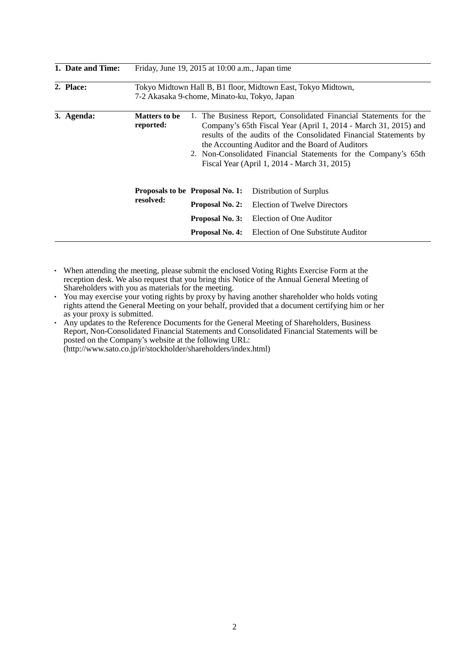| 1. Date and Time: |                                   | Friday, June 19, 2015 at 10:00 a.m., Japan time                                                                                                                                                                                                                                                                                                                                  |                                                              |  |  |
|-------------------|-----------------------------------|----------------------------------------------------------------------------------------------------------------------------------------------------------------------------------------------------------------------------------------------------------------------------------------------------------------------------------------------------------------------------------|--------------------------------------------------------------|--|--|
| 2. Place:         |                                   | 7-2 Akasaka 9-chome, Minato-ku, Tokyo, Japan                                                                                                                                                                                                                                                                                                                                     | Tokyo Midtown Hall B, B1 floor, Midtown East, Tokyo Midtown, |  |  |
| 3. Agenda:        | <b>Matters to be</b><br>reported: | 1. The Business Report, Consolidated Financial Statements for the<br>Company's 65th Fiscal Year (April 1, 2014 - March 31, 2015) and<br>results of the audits of the Consolidated Financial Statements by<br>the Accounting Auditor and the Board of Auditors<br>2. Non-Consolidated Financial Statements for the Company's 65th<br>Fiscal Year (April 1, 2014 - March 31, 2015) |                                                              |  |  |
|                   |                                   | <b>Proposals to be Proposal No. 1:</b>                                                                                                                                                                                                                                                                                                                                           | Distribution of Surplus                                      |  |  |
|                   | resolved:                         | Proposal No. 2:                                                                                                                                                                                                                                                                                                                                                                  | Election of Twelve Directors                                 |  |  |
|                   |                                   | Proposal No. 3:<br>Election of One Auditor                                                                                                                                                                                                                                                                                                                                       |                                                              |  |  |
|                   |                                   | <b>Proposal No. 4:</b>                                                                                                                                                                                                                                                                                                                                                           | Election of One Substitute Auditor                           |  |  |

- ・ When attending the meeting, please submit the enclosed Voting Rights Exercise Form at the reception desk. We also request that you bring this Notice of the Annual General Meeting of Shareholders with you as materials for the meeting.
- ・ You may exercise your voting rights by proxy by having another shareholder who holds voting rights attend the General Meeting on your behalf, provided that a document certifying him or her as your proxy is submitted.
- ・ Any updates to the Reference Documents for the General Meeting of Shareholders, Business Report, Non-Consolidated Financial Statements and Consolidated Financial Statements will be posted on the Company's website at the following URL: (http://www.sato.co.jp/ir/stockholder/shareholders/index.html)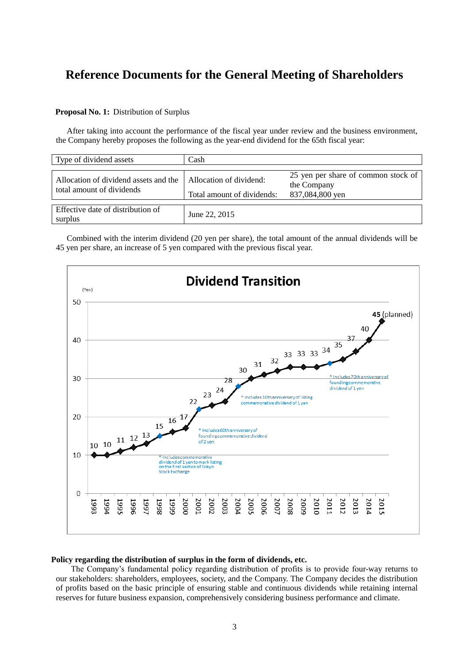# **Reference Documents for the General Meeting of Shareholders**

### **Proposal No. 1:** Distribution of Surplus

After taking into account the performance of the fiscal year under review and the business environment, the Company hereby proposes the following as the year-end dividend for the 65th fiscal year:

| Type of dividend assets                                            | Cash                                                  |                                                                       |  |
|--------------------------------------------------------------------|-------------------------------------------------------|-----------------------------------------------------------------------|--|
| Allocation of dividend assets and the<br>total amount of dividends | Allocation of dividend:<br>Total amount of dividends: | 25 yen per share of common stock of<br>the Company<br>837,084,800 yen |  |
| Effective date of distribution of<br>surplus                       | June 22, 2015                                         |                                                                       |  |

Combined with the interim dividend (20 yen per share), the total amount of the annual dividends will be 45 yen per share, an increase of 5 yen compared with the previous fiscal year.



#### **Policy regarding the distribution of surplus in the form of dividends, etc.**

The Company's fundamental policy regarding distribution of profits is to provide four-way returns to our stakeholders: shareholders, employees, society, and the Company. The Company decides the distribution of profits based on the basic principle of ensuring stable and continuous dividends while retaining internal reserves for future business expansion, comprehensively considering business performance and climate.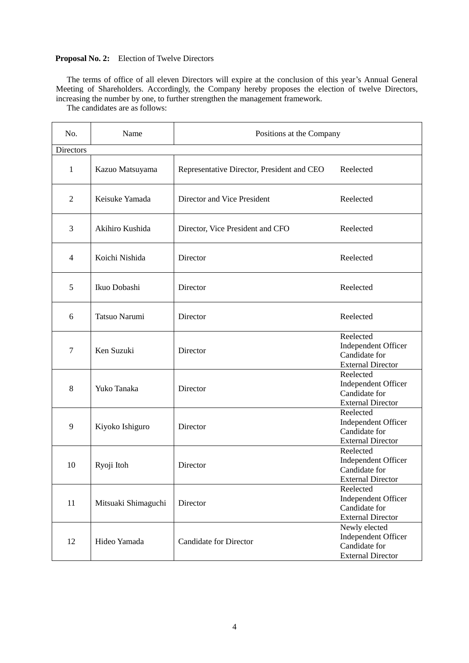## **Proposal No. 2:** Election of Twelve Directors

The terms of office of all eleven Directors will expire at the conclusion of this year's Annual General Meeting of Shareholders. Accordingly, the Company hereby proposes the election of twelve Directors, increasing the number by one, to further strengthen the management framework.

The candidates are as follows:

| No.<br>Name    |                     | Positions at the Company                   |                                                                                   |  |
|----------------|---------------------|--------------------------------------------|-----------------------------------------------------------------------------------|--|
| Directors      |                     |                                            |                                                                                   |  |
| $\mathbf{1}$   | Kazuo Matsuyama     | Representative Director, President and CEO | Reelected                                                                         |  |
| $\overline{2}$ | Keisuke Yamada      | Director and Vice President                | Reelected                                                                         |  |
| 3              | Akihiro Kushida     | Director, Vice President and CFO           | Reelected                                                                         |  |
| $\overline{4}$ | Koichi Nishida      | Director                                   | Reelected                                                                         |  |
| 5              | Ikuo Dobashi        | Director                                   | Reelected                                                                         |  |
| 6              | Tatsuo Narumi       | Director                                   | Reelected                                                                         |  |
| 7              | Ken Suzuki          | Director                                   | Reelected<br>Independent Officer<br>Candidate for<br><b>External Director</b>     |  |
| 8              | Yuko Tanaka         | Director                                   | Reelected<br>Independent Officer<br>Candidate for<br><b>External Director</b>     |  |
| 9              | Kiyoko Ishiguro     | Director                                   | Reelected<br>Independent Officer<br>Candidate for<br><b>External Director</b>     |  |
| 10             | Ryoji Itoh          | Director                                   | Reelected<br>Independent Officer<br>Candidate for<br><b>External Director</b>     |  |
| 11             | Mitsuaki Shimaguchi | Director                                   | Reelected<br>Independent Officer<br>Candidate for<br><b>External Director</b>     |  |
| 12             | Hideo Yamada        | <b>Candidate for Director</b>              | Newly elected<br>Independent Officer<br>Candidate for<br><b>External Director</b> |  |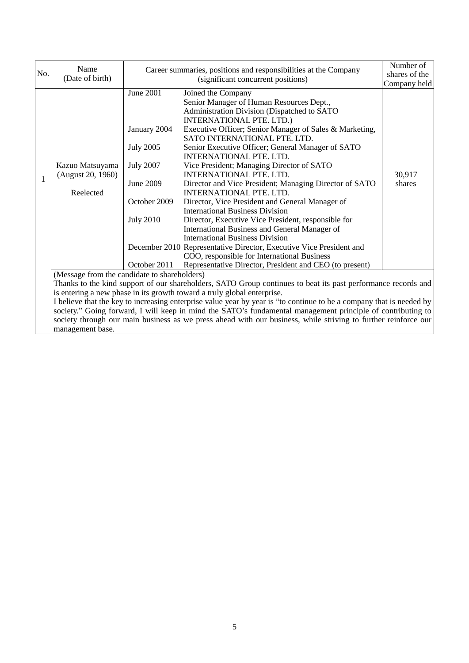|              | Name                                                                                                                 |                  | Career summaries, positions and responsibilities at the Company                                                | Number of     |  |
|--------------|----------------------------------------------------------------------------------------------------------------------|------------------|----------------------------------------------------------------------------------------------------------------|---------------|--|
| No.          | (Date of birth)                                                                                                      |                  | (significant concurrent positions)                                                                             | shares of the |  |
|              |                                                                                                                      |                  |                                                                                                                | Company held  |  |
|              |                                                                                                                      | <b>June 2001</b> | Joined the Company                                                                                             |               |  |
|              |                                                                                                                      |                  | Senior Manager of Human Resources Dept.,                                                                       |               |  |
|              |                                                                                                                      |                  | Administration Division (Dispatched to SATO                                                                    |               |  |
|              |                                                                                                                      |                  | <b>INTERNATIONAL PTE. LTD.)</b>                                                                                |               |  |
|              |                                                                                                                      | January 2004     | Executive Officer; Senior Manager of Sales & Marketing,                                                        |               |  |
|              |                                                                                                                      |                  | SATO INTERNATIONAL PTE. LTD.                                                                                   |               |  |
|              |                                                                                                                      | <b>July 2005</b> | Senior Executive Officer; General Manager of SATO                                                              |               |  |
|              |                                                                                                                      |                  | <b>INTERNATIONAL PTE. LTD.</b>                                                                                 |               |  |
|              | Kazuo Matsuyama                                                                                                      | <b>July 2007</b> | Vice President; Managing Director of SATO                                                                      |               |  |
| $\mathbf{1}$ | (August 20, 1960)                                                                                                    |                  | <b>INTERNATIONAL PTE. LTD.</b>                                                                                 | 30,917        |  |
|              |                                                                                                                      | June 2009        | Director and Vice President; Managing Director of SATO                                                         | shares        |  |
|              | Reelected                                                                                                            |                  | INTERNATIONAL PTE. LTD.                                                                                        |               |  |
|              |                                                                                                                      | October 2009     | Director, Vice President and General Manager of                                                                |               |  |
|              |                                                                                                                      |                  | <b>International Business Division</b>                                                                         |               |  |
|              |                                                                                                                      | <b>July 2010</b> | Director, Executive Vice President, responsible for                                                            |               |  |
|              |                                                                                                                      |                  | International Business and General Manager of                                                                  |               |  |
|              |                                                                                                                      |                  | <b>International Business Division</b>                                                                         |               |  |
|              |                                                                                                                      |                  | December 2010 Representative Director, Executive Vice President and                                            |               |  |
|              |                                                                                                                      |                  | COO, responsible for International Business                                                                    |               |  |
|              |                                                                                                                      | October 2011     | Representative Director, President and CEO (to present)                                                        |               |  |
|              | (Message from the candidate to shareholders)                                                                         |                  |                                                                                                                |               |  |
|              | Thanks to the kind support of our shareholders, SATO Group continues to beat its past performance records and        |                  |                                                                                                                |               |  |
|              | is entering a new phase in its growth toward a truly global enterprise.                                              |                  |                                                                                                                |               |  |
|              | I believe that the key to increasing enterprise value year by year is "to continue to be a company that is needed by |                  |                                                                                                                |               |  |
|              |                                                                                                                      |                  | society." Going forward, I will keep in mind the SATO's fundamental management principle of contributing to    |               |  |
|              |                                                                                                                      |                  | society through our main business as we press ahead with our business, while striving to further reinforce our |               |  |
|              | management base.                                                                                                     |                  |                                                                                                                |               |  |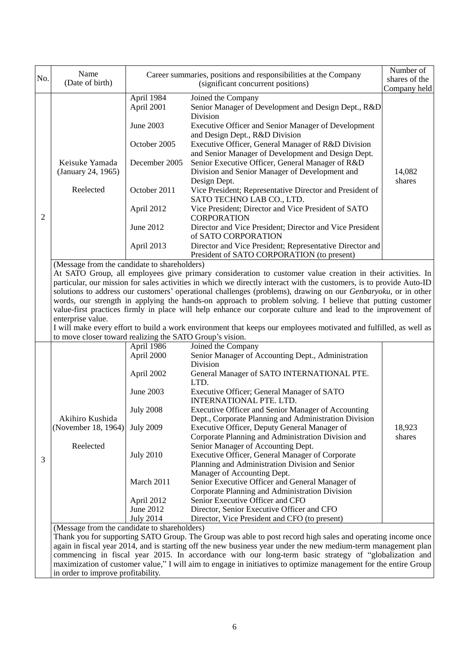| No. | Name<br>(Date of birth)                                  |                          | Career summaries, positions and responsibilities at the Company<br>(significant concurrent positions)                                                                                                                                                                                                                                                                                                                                                                                                                                                                                                                                                                                                 | Number of<br>shares of the |
|-----|----------------------------------------------------------|--------------------------|-------------------------------------------------------------------------------------------------------------------------------------------------------------------------------------------------------------------------------------------------------------------------------------------------------------------------------------------------------------------------------------------------------------------------------------------------------------------------------------------------------------------------------------------------------------------------------------------------------------------------------------------------------------------------------------------------------|----------------------------|
|     |                                                          |                          |                                                                                                                                                                                                                                                                                                                                                                                                                                                                                                                                                                                                                                                                                                       | Company held               |
|     |                                                          | April 1984<br>April 2001 | Joined the Company<br>Senior Manager of Development and Design Dept., R&D<br>Division                                                                                                                                                                                                                                                                                                                                                                                                                                                                                                                                                                                                                 |                            |
|     |                                                          | June 2003                | <b>Executive Officer and Senior Manager of Development</b>                                                                                                                                                                                                                                                                                                                                                                                                                                                                                                                                                                                                                                            |                            |
|     |                                                          | October 2005             | and Design Dept., R&D Division<br>Executive Officer, General Manager of R&D Division<br>and Senior Manager of Development and Design Dept.                                                                                                                                                                                                                                                                                                                                                                                                                                                                                                                                                            |                            |
|     | Keisuke Yamada<br>(January 24, 1965)                     | December 2005            | Senior Executive Officer, General Manager of R&D<br>Division and Senior Manager of Development and<br>Design Dept.                                                                                                                                                                                                                                                                                                                                                                                                                                                                                                                                                                                    | 14,082<br>shares           |
|     | Reelected                                                | October 2011             | Vice President; Representative Director and President of<br>SATO TECHNO LAB CO., LTD.                                                                                                                                                                                                                                                                                                                                                                                                                                                                                                                                                                                                                 |                            |
| 2   |                                                          | April 2012               | Vice President; Director and Vice President of SATO<br><b>CORPORATION</b>                                                                                                                                                                                                                                                                                                                                                                                                                                                                                                                                                                                                                             |                            |
|     |                                                          | June 2012                | Director and Vice President; Director and Vice President<br>of SATO CORPORATION                                                                                                                                                                                                                                                                                                                                                                                                                                                                                                                                                                                                                       |                            |
|     |                                                          | April 2013               | Director and Vice President; Representative Director and<br>President of SATO CORPORATION (to present)                                                                                                                                                                                                                                                                                                                                                                                                                                                                                                                                                                                                |                            |
|     | enterprise value.                                        |                          | At SATO Group, all employees give primary consideration to customer value creation in their activities. In<br>particular, our mission for sales activities in which we directly interact with the customers, is to provide Auto-ID<br>solutions to address our customers' operational challenges (problems), drawing on our Genbaryoku, or in other<br>words, our strength in applying the hands-on approach to problem solving. I believe that putting customer<br>value-first practices firmly in place will help enhance our corporate culture and lead to the improvement of<br>I will make every effort to build a work environment that keeps our employees motivated and fulfilled, as well as |                            |
|     | to move closer toward realizing the SATO Group's vision. |                          |                                                                                                                                                                                                                                                                                                                                                                                                                                                                                                                                                                                                                                                                                                       |                            |
|     |                                                          | April 1986               | Joined the Company                                                                                                                                                                                                                                                                                                                                                                                                                                                                                                                                                                                                                                                                                    |                            |
|     |                                                          | April 2000               | Senior Manager of Accounting Dept., Administration<br>Division                                                                                                                                                                                                                                                                                                                                                                                                                                                                                                                                                                                                                                        |                            |
|     |                                                          | April 2002               | General Manager of SATO INTERNATIONAL PTE.<br>LTD.                                                                                                                                                                                                                                                                                                                                                                                                                                                                                                                                                                                                                                                    |                            |
|     |                                                          | June 2003                | Executive Officer; General Manager of SATO<br>INTERNATIONAL PTE. LTD.                                                                                                                                                                                                                                                                                                                                                                                                                                                                                                                                                                                                                                 |                            |
|     | Akihiro Kushida                                          | <b>July 2008</b>         | Executive Officer and Senior Manager of Accounting<br>Dept., Corporate Planning and Administration Division                                                                                                                                                                                                                                                                                                                                                                                                                                                                                                                                                                                           |                            |
|     | (November 18, 1964)                                      | <b>July 2009</b>         | Executive Officer, Deputy General Manager of<br>Corporate Planning and Administration Division and                                                                                                                                                                                                                                                                                                                                                                                                                                                                                                                                                                                                    | 18,923<br>shares           |
|     | Reelected                                                | <b>July 2010</b>         | Senior Manager of Accounting Dept.<br>Executive Officer, General Manager of Corporate                                                                                                                                                                                                                                                                                                                                                                                                                                                                                                                                                                                                                 |                            |
| 3   |                                                          |                          | Planning and Administration Division and Senior<br>Manager of Accounting Dept.                                                                                                                                                                                                                                                                                                                                                                                                                                                                                                                                                                                                                        |                            |
|     |                                                          | March 2011               | Senior Executive Officer and General Manager of<br>Corporate Planning and Administration Division                                                                                                                                                                                                                                                                                                                                                                                                                                                                                                                                                                                                     |                            |
|     |                                                          | April 2012               | Senior Executive Officer and CFO                                                                                                                                                                                                                                                                                                                                                                                                                                                                                                                                                                                                                                                                      |                            |
|     |                                                          | June 2012                | Director, Senior Executive Officer and CFO                                                                                                                                                                                                                                                                                                                                                                                                                                                                                                                                                                                                                                                            |                            |
|     | (Message from the candidate to shareholders)             | <b>July 2014</b>         | Director, Vice President and CFO (to present)                                                                                                                                                                                                                                                                                                                                                                                                                                                                                                                                                                                                                                                         |                            |
|     |                                                          |                          | Thank you for supporting SATO Group. The Group was able to post record high sales and operating income once                                                                                                                                                                                                                                                                                                                                                                                                                                                                                                                                                                                           |                            |
|     |                                                          |                          | again in fiscal year 2014, and is starting off the new business year under the new medium-term management plan                                                                                                                                                                                                                                                                                                                                                                                                                                                                                                                                                                                        |                            |
|     |                                                          |                          | commencing in fiscal year 2015. In accordance with our long-term basic strategy of "globalization and                                                                                                                                                                                                                                                                                                                                                                                                                                                                                                                                                                                                 |                            |
|     |                                                          |                          | maximization of customer value," I will aim to engage in initiatives to optimize management for the entire Group                                                                                                                                                                                                                                                                                                                                                                                                                                                                                                                                                                                      |                            |
|     | in order to improve profitability.                       |                          |                                                                                                                                                                                                                                                                                                                                                                                                                                                                                                                                                                                                                                                                                                       |                            |

 $\overline{\phantom{a}}$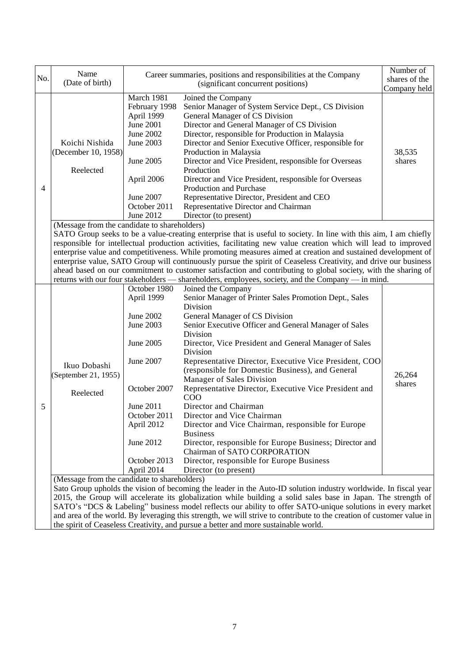| No. | Name<br>(Date of birth)                                                                           |                                                                                                                                                                                                                                                                                                                                                                                                                                                                                                                                                                                                                                                                                                                                                  | Career summaries, positions and responsibilities at the Company<br>(significant concurrent positions)                                                                                                                                                                                                                                                                                                                                                                                                                                                                                                                                                                                                                                                                                                                                                                                               | Number of<br>shares of the<br>Company held |  |  |
|-----|---------------------------------------------------------------------------------------------------|--------------------------------------------------------------------------------------------------------------------------------------------------------------------------------------------------------------------------------------------------------------------------------------------------------------------------------------------------------------------------------------------------------------------------------------------------------------------------------------------------------------------------------------------------------------------------------------------------------------------------------------------------------------------------------------------------------------------------------------------------|-----------------------------------------------------------------------------------------------------------------------------------------------------------------------------------------------------------------------------------------------------------------------------------------------------------------------------------------------------------------------------------------------------------------------------------------------------------------------------------------------------------------------------------------------------------------------------------------------------------------------------------------------------------------------------------------------------------------------------------------------------------------------------------------------------------------------------------------------------------------------------------------------------|--------------------------------------------|--|--|
| 4   | Koichi Nishida<br>(December 10, 1958)<br>Reelected                                                | March 1981<br>February 1998<br>April 1999<br><b>June 2001</b><br>June 2002<br>June 2003<br>June 2005<br>April 2006<br>June 2007<br>October 2011<br>June 2012                                                                                                                                                                                                                                                                                                                                                                                                                                                                                                                                                                                     | Joined the Company<br>Senior Manager of System Service Dept., CS Division<br>General Manager of CS Division<br>Director and General Manager of CS Division<br>Director, responsible for Production in Malaysia<br>Director and Senior Executive Officer, responsible for<br>Production in Malaysia<br>Director and Vice President, responsible for Overseas<br>Production<br>Director and Vice President, responsible for Overseas<br>Production and Purchase<br>Representative Director, President and CEO<br>Representative Director and Chairman<br>Director (to present)                                                                                                                                                                                                                                                                                                                        | 38,535<br>shares                           |  |  |
|     |                                                                                                   | (Message from the candidate to shareholders)<br>SATO Group seeks to be a value-creating enterprise that is useful to society. In line with this aim, I am chiefly<br>responsible for intellectual production activities, facilitating new value creation which will lead to improved<br>enterprise value and competitiveness. While promoting measures aimed at creation and sustained development of<br>enterprise value, SATO Group will continuously pursue the spirit of Ceaseless Creativity, and drive our business<br>ahead based on our commitment to customer satisfaction and contributing to global society, with the sharing of<br>returns with our four stakeholders — shareholders, employees, society, and the Company — in mind. |                                                                                                                                                                                                                                                                                                                                                                                                                                                                                                                                                                                                                                                                                                                                                                                                                                                                                                     |                                            |  |  |
| 5   | Ikuo Dobashi<br>(September 21, 1955)<br>Reelected<br>(Message from the candidate to shareholders) | October 1980<br>April 1999<br>June 2002<br>June 2003<br>June 2005<br>June 2007<br>October 2007<br>June 2011<br>October 2011<br>April 2012<br>June 2012<br>October 2013<br>April 2014                                                                                                                                                                                                                                                                                                                                                                                                                                                                                                                                                             | Joined the Company<br>Senior Manager of Printer Sales Promotion Dept., Sales<br>Division<br>General Manager of CS Division<br>Senior Executive Officer and General Manager of Sales<br>Division<br>Director, Vice President and General Manager of Sales<br>Division<br>Representative Director, Executive Vice President, COO<br>(responsible for Domestic Business), and General<br>Manager of Sales Division<br>Representative Director, Executive Vice President and<br>COO<br>Director and Chairman<br>Director and Vice Chairman<br>Director and Vice Chairman, responsible for Europe<br><b>Business</b><br>Director, responsible for Europe Business; Director and<br>Chairman of SATO CORPORATION<br>Director, responsible for Europe Business<br>Director (to present)<br>Sato Group upholds the vision of becoming the leader in the Auto-ID solution industry worldwide. In fiscal year | 26,264<br>shares                           |  |  |

SATO's "DCS & Labeling" business model reflects our ability to offer SATO-unique solutions in every market and area of the world. By leveraging this strength, we will strive to contribute to the creation of customer value in the spirit of Ceaseless Creativity, and pursue a better and more sustainable world.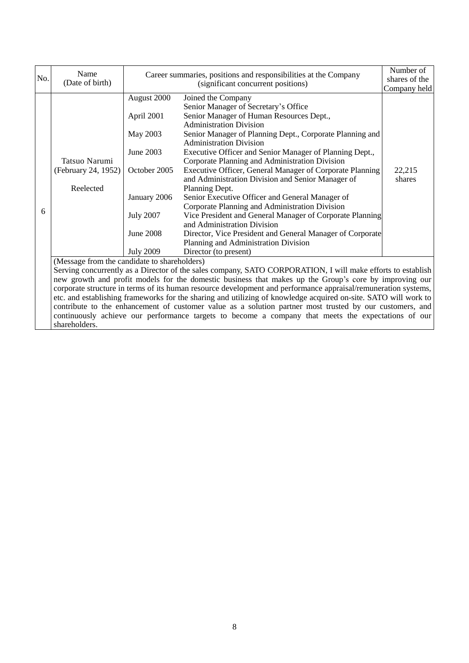|     | Name                                                                                                            |                                                                                                             | Career summaries, positions and responsibilities at the Company                                                | Number of     |  |  |  |
|-----|-----------------------------------------------------------------------------------------------------------------|-------------------------------------------------------------------------------------------------------------|----------------------------------------------------------------------------------------------------------------|---------------|--|--|--|
| No. | (Date of birth)                                                                                                 |                                                                                                             | (significant concurrent positions)                                                                             | shares of the |  |  |  |
|     |                                                                                                                 |                                                                                                             |                                                                                                                | Company held  |  |  |  |
|     |                                                                                                                 | August 2000                                                                                                 | Joined the Company                                                                                             |               |  |  |  |
|     |                                                                                                                 |                                                                                                             | Senior Manager of Secretary's Office                                                                           |               |  |  |  |
|     |                                                                                                                 | April 2001                                                                                                  | Senior Manager of Human Resources Dept.,                                                                       |               |  |  |  |
|     |                                                                                                                 |                                                                                                             | <b>Administration Division</b>                                                                                 |               |  |  |  |
|     |                                                                                                                 | May 2003                                                                                                    | Senior Manager of Planning Dept., Corporate Planning and                                                       |               |  |  |  |
|     |                                                                                                                 |                                                                                                             | <b>Administration Division</b>                                                                                 |               |  |  |  |
|     |                                                                                                                 | June 2003                                                                                                   | Executive Officer and Senior Manager of Planning Dept.,                                                        |               |  |  |  |
|     | Tatsuo Narumi                                                                                                   |                                                                                                             | Corporate Planning and Administration Division                                                                 |               |  |  |  |
|     | (February 24, 1952)                                                                                             | October 2005                                                                                                | Executive Officer, General Manager of Corporate Planning                                                       | 22,215        |  |  |  |
|     |                                                                                                                 |                                                                                                             | and Administration Division and Senior Manager of                                                              | shares        |  |  |  |
|     | Reelected                                                                                                       |                                                                                                             | Planning Dept.                                                                                                 |               |  |  |  |
|     |                                                                                                                 | January 2006                                                                                                | Senior Executive Officer and General Manager of                                                                |               |  |  |  |
| 6   |                                                                                                                 |                                                                                                             | Corporate Planning and Administration Division                                                                 |               |  |  |  |
|     |                                                                                                                 | <b>July 2007</b>                                                                                            | Vice President and General Manager of Corporate Planning                                                       |               |  |  |  |
|     |                                                                                                                 |                                                                                                             | and Administration Division                                                                                    |               |  |  |  |
|     |                                                                                                                 | <b>June 2008</b>                                                                                            | Director, Vice President and General Manager of Corporate                                                      |               |  |  |  |
|     |                                                                                                                 |                                                                                                             | Planning and Administration Division                                                                           |               |  |  |  |
|     |                                                                                                                 | <b>July 2009</b>                                                                                            | Director (to present)                                                                                          |               |  |  |  |
|     | (Message from the candidate to shareholders)                                                                    |                                                                                                             |                                                                                                                |               |  |  |  |
|     |                                                                                                                 | Serving concurrently as a Director of the sales company, SATO CORPORATION, I will make efforts to establish |                                                                                                                |               |  |  |  |
|     |                                                                                                                 | new growth and profit models for the domestic business that makes up the Group's core by improving our      |                                                                                                                |               |  |  |  |
|     |                                                                                                                 |                                                                                                             | corporate structure in terms of its human resource development and performance appraisal/remuneration systems, |               |  |  |  |
|     | etc. and establishing frameworks for the sharing and utilizing of knowledge acquired on-site. SATO will work to |                                                                                                             |                                                                                                                |               |  |  |  |
|     |                                                                                                                 |                                                                                                             | contribute to the enhancement of customer value as a solution partner most trusted by our customers, and       |               |  |  |  |
|     |                                                                                                                 |                                                                                                             | continuously achieve our performance targets to become a company that meets the expectations of our            |               |  |  |  |
|     | shareholders.                                                                                                   |                                                                                                             |                                                                                                                |               |  |  |  |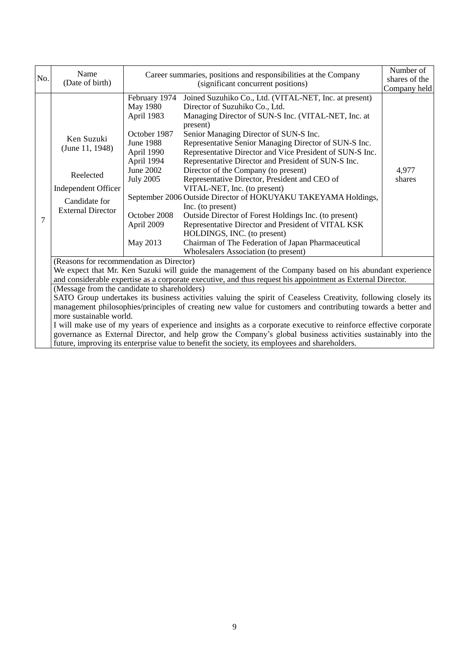| No. | Name                                                                                                                                                                                                                                                                                                                                                                                                                                                                                                                                                                                                                                             |                                                                                                                                                                                    | Career summaries, positions and responsibilities at the Company                                                                                                                                                                                                                                                                                                                                                                                                                                                                                                                                                                                                                                                                                                                                                                               | Number of<br>shares of the |  |
|-----|--------------------------------------------------------------------------------------------------------------------------------------------------------------------------------------------------------------------------------------------------------------------------------------------------------------------------------------------------------------------------------------------------------------------------------------------------------------------------------------------------------------------------------------------------------------------------------------------------------------------------------------------------|------------------------------------------------------------------------------------------------------------------------------------------------------------------------------------|-----------------------------------------------------------------------------------------------------------------------------------------------------------------------------------------------------------------------------------------------------------------------------------------------------------------------------------------------------------------------------------------------------------------------------------------------------------------------------------------------------------------------------------------------------------------------------------------------------------------------------------------------------------------------------------------------------------------------------------------------------------------------------------------------------------------------------------------------|----------------------------|--|
|     | (Date of birth)                                                                                                                                                                                                                                                                                                                                                                                                                                                                                                                                                                                                                                  |                                                                                                                                                                                    | (significant concurrent positions)                                                                                                                                                                                                                                                                                                                                                                                                                                                                                                                                                                                                                                                                                                                                                                                                            | Company held               |  |
| 7   | Ken Suzuki<br>(June 11, 1948)<br>Reelected<br><b>Independent Officer</b><br>Candidate for<br><b>External Director</b>                                                                                                                                                                                                                                                                                                                                                                                                                                                                                                                            | February 1974<br><b>May 1980</b><br>April 1983<br>October 1987<br>June 1988<br>April 1990<br>April 1994<br>June 2002<br><b>July 2005</b><br>October 2008<br>April 2009<br>May 2013 | Joined Suzuhiko Co., Ltd. (VITAL-NET, Inc. at present)<br>Director of Suzuhiko Co., Ltd.<br>Managing Director of SUN-S Inc. (VITAL-NET, Inc. at<br>present)<br>Senior Managing Director of SUN-S Inc.<br>Representative Senior Managing Director of SUN-S Inc.<br>Representative Director and Vice President of SUN-S Inc.<br>Representative Director and President of SUN-S Inc.<br>Director of the Company (to present)<br>Representative Director, President and CEO of<br>VITAL-NET, Inc. (to present)<br>September 2006 Outside Director of HOKUYAKU TAKEYAMA Holdings,<br>Inc. (to present)<br>Outside Director of Forest Holdings Inc. (to present)<br>Representative Director and President of VITAL KSK<br>HOLDINGS, INC. (to present)<br>Chairman of The Federation of Japan Pharmaceutical<br>Wholesalers Association (to present) | 4,977<br>shares            |  |
|     | (Reasons for recommendation as Director)                                                                                                                                                                                                                                                                                                                                                                                                                                                                                                                                                                                                         |                                                                                                                                                                                    |                                                                                                                                                                                                                                                                                                                                                                                                                                                                                                                                                                                                                                                                                                                                                                                                                                               |                            |  |
|     | We expect that Mr. Ken Suzuki will guide the management of the Company based on his abundant experience<br>and considerable expertise as a corporate executive, and thus request his appointment as External Director.                                                                                                                                                                                                                                                                                                                                                                                                                           |                                                                                                                                                                                    |                                                                                                                                                                                                                                                                                                                                                                                                                                                                                                                                                                                                                                                                                                                                                                                                                                               |                            |  |
|     | (Message from the candidate to shareholders)<br>SATO Group undertakes its business activities valuing the spirit of Ceaseless Creativity, following closely its<br>management philosophies/principles of creating new value for customers and contributing towards a better and<br>more sustainable world.<br>I will make use of my years of experience and insights as a corporate executive to reinforce effective corporate<br>governance as External Director, and help grow the Company's global business activities sustainably into the<br>future, improving its enterprise value to benefit the society, its employees and shareholders. |                                                                                                                                                                                    |                                                                                                                                                                                                                                                                                                                                                                                                                                                                                                                                                                                                                                                                                                                                                                                                                                               |                            |  |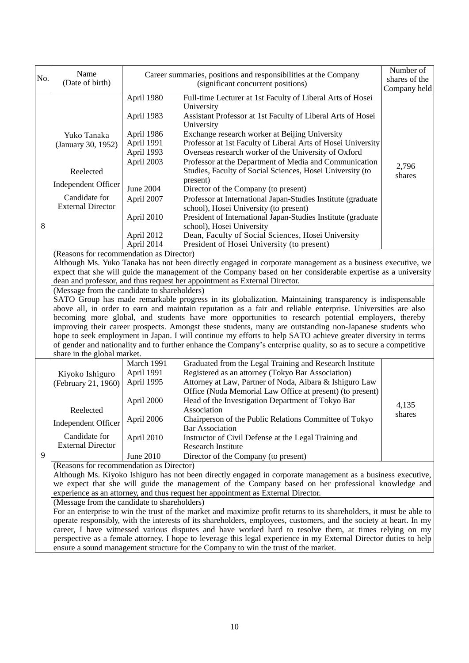| No. | Name                                                                                                        |                  | Career summaries, positions and responsibilities at the Company                                                                                                                                                             | Number of                     |  |
|-----|-------------------------------------------------------------------------------------------------------------|------------------|-----------------------------------------------------------------------------------------------------------------------------------------------------------------------------------------------------------------------------|-------------------------------|--|
|     | (Date of birth)                                                                                             |                  | (significant concurrent positions)                                                                                                                                                                                          | shares of the<br>Company held |  |
|     |                                                                                                             | April 1980       | Full-time Lecturer at 1st Faculty of Liberal Arts of Hosei                                                                                                                                                                  |                               |  |
|     |                                                                                                             |                  | University                                                                                                                                                                                                                  |                               |  |
|     |                                                                                                             | April 1983       | Assistant Professor at 1st Faculty of Liberal Arts of Hosei                                                                                                                                                                 |                               |  |
|     |                                                                                                             |                  | University                                                                                                                                                                                                                  |                               |  |
|     | Yuko Tanaka                                                                                                 | April 1986       | Exchange research worker at Beijing University                                                                                                                                                                              |                               |  |
|     | (January 30, 1952)                                                                                          | April 1991       | Professor at 1st Faculty of Liberal Arts of Hosei University                                                                                                                                                                |                               |  |
|     |                                                                                                             | April 1993       | Overseas research worker of the University of Oxford                                                                                                                                                                        |                               |  |
|     |                                                                                                             | April 2003       | Professor at the Department of Media and Communication                                                                                                                                                                      | 2,796                         |  |
|     | Reelected                                                                                                   |                  | Studies, Faculty of Social Sciences, Hosei University (to                                                                                                                                                                   | shares                        |  |
|     | <b>Independent Officer</b>                                                                                  |                  | present)                                                                                                                                                                                                                    |                               |  |
|     | Candidate for                                                                                               | <b>June 2004</b> | Director of the Company (to present)                                                                                                                                                                                        |                               |  |
|     | <b>External Director</b>                                                                                    | April 2007       | Professor at International Japan-Studies Institute (graduate<br>school), Hosei University (to present)                                                                                                                      |                               |  |
|     |                                                                                                             | April 2010       | President of International Japan-Studies Institute (graduate                                                                                                                                                                |                               |  |
| 8   |                                                                                                             |                  | school), Hosei University                                                                                                                                                                                                   |                               |  |
|     |                                                                                                             | April 2012       | Dean, Faculty of Social Sciences, Hosei University                                                                                                                                                                          |                               |  |
|     |                                                                                                             | April 2014       | President of Hosei University (to present)                                                                                                                                                                                  |                               |  |
|     | (Reasons for recommendation as Director)                                                                    |                  |                                                                                                                                                                                                                             |                               |  |
|     |                                                                                                             |                  | Although Ms. Yuko Tanaka has not been directly engaged in corporate management as a business executive, we                                                                                                                  |                               |  |
|     |                                                                                                             |                  | expect that she will guide the management of the Company based on her considerable expertise as a university                                                                                                                |                               |  |
|     |                                                                                                             |                  | dean and professor, and thus request her appointment as External Director.                                                                                                                                                  |                               |  |
|     | (Message from the candidate to shareholders)                                                                |                  |                                                                                                                                                                                                                             |                               |  |
|     |                                                                                                             |                  | SATO Group has made remarkable progress in its globalization. Maintaining transparency is indispensable                                                                                                                     |                               |  |
|     |                                                                                                             |                  | above all, in order to earn and maintain reputation as a fair and reliable enterprise. Universities are also                                                                                                                |                               |  |
|     |                                                                                                             |                  | becoming more global, and students have more opportunities to research potential employers, thereby                                                                                                                         |                               |  |
|     |                                                                                                             |                  | improving their career prospects. Amongst these students, many are outstanding non-Japanese students who<br>hope to seek employment in Japan. I will continue my efforts to help SATO achieve greater diversity in terms    |                               |  |
|     |                                                                                                             |                  | of gender and nationality and to further enhance the Company's enterprise quality, so as to secure a competitive                                                                                                            |                               |  |
|     | share in the global market.                                                                                 |                  |                                                                                                                                                                                                                             |                               |  |
|     |                                                                                                             | March 1991       | Graduated from the Legal Training and Research Institute                                                                                                                                                                    |                               |  |
|     | Kiyoko Ishiguro                                                                                             | April 1991       | Registered as an attorney (Tokyo Bar Association)                                                                                                                                                                           |                               |  |
|     | (February 21, 1960)                                                                                         | April 1995       | Attorney at Law, Partner of Noda, Aibara & Ishiguro Law                                                                                                                                                                     |                               |  |
|     |                                                                                                             |                  | Office (Noda Memorial Law Office at present) (to present)                                                                                                                                                                   |                               |  |
|     |                                                                                                             | April 2000       | Head of the Investigation Department of Tokyo Bar                                                                                                                                                                           | 4,135                         |  |
|     | Reelected                                                                                                   |                  | Association                                                                                                                                                                                                                 | shares                        |  |
|     | <b>Independent Officer</b>                                                                                  | April 2006       | Chairperson of the Public Relations Committee of Tokyo<br><b>Bar Association</b>                                                                                                                                            |                               |  |
|     | Candidate for                                                                                               | April 2010       | Instructor of Civil Defense at the Legal Training and                                                                                                                                                                       |                               |  |
|     | <b>External Director</b>                                                                                    |                  | <b>Research Institute</b>                                                                                                                                                                                                   |                               |  |
| 9   |                                                                                                             | June 2010        | Director of the Company (to present)                                                                                                                                                                                        |                               |  |
|     | (Reasons for recommendation as Director)                                                                    |                  |                                                                                                                                                                                                                             |                               |  |
|     | Although Ms. Kiyoko Ishiguro has not been directly engaged in corporate management as a business executive, |                  |                                                                                                                                                                                                                             |                               |  |
|     | we expect that she will guide the management of the Company based on her professional knowledge and         |                  |                                                                                                                                                                                                                             |                               |  |
|     |                                                                                                             |                  | experience as an attorney, and thus request her appointment as External Director.                                                                                                                                           |                               |  |
|     | (Message from the candidate to shareholders)                                                                |                  |                                                                                                                                                                                                                             |                               |  |
|     |                                                                                                             |                  | For an enterprise to win the trust of the market and maximize profit returns to its shareholders, it must be able to                                                                                                        |                               |  |
|     |                                                                                                             |                  | operate responsibly, with the interests of its shareholders, employees, customers, and the society at heart. In my                                                                                                          |                               |  |
|     |                                                                                                             |                  | career, I have witnessed various disputes and have worked hard to resolve them, at times relying on my<br>perspective as a female attorney. I hope to leverage this legal experience in my External Director duties to help |                               |  |
|     |                                                                                                             |                  |                                                                                                                                                                                                                             |                               |  |
|     | ensure a sound management structure for the Company to win the trust of the market.                         |                  |                                                                                                                                                                                                                             |                               |  |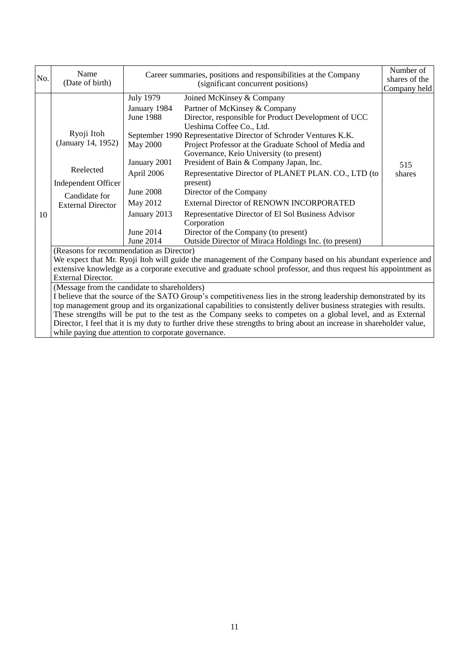| No. | Name<br>(Date of birth)                                                                                                                                                                                                                                                                                                                                                                                                                                                                                                                                                                                                                                                                                                                                                                                                                                                                         |                                                                                                                                                                                 | Career summaries, positions and responsibilities at the Company<br>(significant concurrent positions)                                                                                                                                                                                                                                                                                                                                                                                                                                                                                                                                                                                      |                               |
|-----|-------------------------------------------------------------------------------------------------------------------------------------------------------------------------------------------------------------------------------------------------------------------------------------------------------------------------------------------------------------------------------------------------------------------------------------------------------------------------------------------------------------------------------------------------------------------------------------------------------------------------------------------------------------------------------------------------------------------------------------------------------------------------------------------------------------------------------------------------------------------------------------------------|---------------------------------------------------------------------------------------------------------------------------------------------------------------------------------|--------------------------------------------------------------------------------------------------------------------------------------------------------------------------------------------------------------------------------------------------------------------------------------------------------------------------------------------------------------------------------------------------------------------------------------------------------------------------------------------------------------------------------------------------------------------------------------------------------------------------------------------------------------------------------------------|-------------------------------|
| 10  | Ryoji Itoh<br>(January 14, 1952)<br>Reelected<br>Independent Officer<br>Candidate for<br><b>External Director</b>                                                                                                                                                                                                                                                                                                                                                                                                                                                                                                                                                                                                                                                                                                                                                                               | <b>July 1979</b><br>January 1984<br><b>June 1988</b><br><b>May 2000</b><br>January 2001<br>April 2006<br><b>June 2008</b><br>May 2012<br>January 2013<br>June 2014<br>June 2014 | Joined McKinsey & Company<br>Partner of McKinsey & Company<br>Director, responsible for Product Development of UCC<br>Ueshima Coffee Co., Ltd.<br>September 1990 Representative Director of Schroder Ventures K.K.<br>Project Professor at the Graduate School of Media and<br>Governance, Keio University (to present)<br>President of Bain & Company Japan, Inc.<br>Representative Director of PLANET PLAN. CO., LTD (to<br>present)<br>Director of the Company<br><b>External Director of RENOWN INCORPORATED</b><br>Representative Director of El Sol Business Advisor<br>Corporation<br>Director of the Company (to present)<br>Outside Director of Miraca Holdings Inc. (to present) | Company held<br>515<br>shares |
|     | (Reasons for recommendation as Director)<br>We expect that Mr. Ryoji Itoh will guide the management of the Company based on his abundant experience and<br>extensive knowledge as a corporate executive and graduate school professor, and thus request his appointment as<br><b>External Director.</b><br>(Message from the candidate to shareholders)<br>I believe that the source of the SATO Group's competitiveness lies in the strong leadership demonstrated by its<br>top management group and its organizational capabilities to consistently deliver business strategies with results.<br>These strengths will be put to the test as the Company seeks to competes on a global level, and as External<br>Director, I feel that it is my duty to further drive these strengths to bring about an increase in shareholder value,<br>while paying due attention to corporate governance. |                                                                                                                                                                                 |                                                                                                                                                                                                                                                                                                                                                                                                                                                                                                                                                                                                                                                                                            |                               |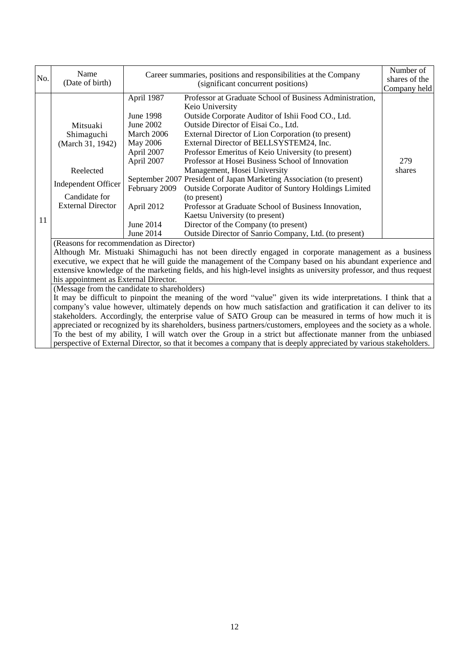| No. | Name                                                                                                                                                                                                                                                                                                                                                                                                                                                                                                                                                                                                                                                                                                                                                  | Career summaries, positions and responsibilities at the Company                                                                               |                                                                                                                                                                                                                                                                                                                                                                                                                                                                                                                                                                                                                                                                                                       | Number of     |  |
|-----|-------------------------------------------------------------------------------------------------------------------------------------------------------------------------------------------------------------------------------------------------------------------------------------------------------------------------------------------------------------------------------------------------------------------------------------------------------------------------------------------------------------------------------------------------------------------------------------------------------------------------------------------------------------------------------------------------------------------------------------------------------|-----------------------------------------------------------------------------------------------------------------------------------------------|-------------------------------------------------------------------------------------------------------------------------------------------------------------------------------------------------------------------------------------------------------------------------------------------------------------------------------------------------------------------------------------------------------------------------------------------------------------------------------------------------------------------------------------------------------------------------------------------------------------------------------------------------------------------------------------------------------|---------------|--|
|     | (Date of birth)                                                                                                                                                                                                                                                                                                                                                                                                                                                                                                                                                                                                                                                                                                                                       |                                                                                                                                               | (significant concurrent positions)                                                                                                                                                                                                                                                                                                                                                                                                                                                                                                                                                                                                                                                                    | shares of the |  |
|     |                                                                                                                                                                                                                                                                                                                                                                                                                                                                                                                                                                                                                                                                                                                                                       |                                                                                                                                               |                                                                                                                                                                                                                                                                                                                                                                                                                                                                                                                                                                                                                                                                                                       | Company held  |  |
| 11  | Mitsuaki<br>Shimaguchi<br>(March 31, 1942)<br>Reelected<br>Independent Officer<br>Candidate for<br><b>External Director</b>                                                                                                                                                                                                                                                                                                                                                                                                                                                                                                                                                                                                                           | April 1987<br><b>June 1998</b><br>June 2002<br>March 2006<br>May 2006<br>April 2007<br>April 2007<br>February 2009<br>April 2012<br>June 2014 | Professor at Graduate School of Business Administration,<br>Keio University<br>Outside Corporate Auditor of Ishii Food CO., Ltd.<br>Outside Director of Eisai Co., Ltd.<br>External Director of Lion Corporation (to present)<br>External Director of BELLSYSTEM24, Inc.<br>Professor Emeritus of Keio University (to present)<br>Professor at Hosei Business School of Innovation<br>Management, Hosei University<br>September 2007 President of Japan Marketing Association (to present)<br>Outside Corporate Auditor of Suntory Holdings Limited<br>(to present)<br>Professor at Graduate School of Business Innovation,<br>Kaetsu University (to present)<br>Director of the Company (to present) | 279<br>shares |  |
|     |                                                                                                                                                                                                                                                                                                                                                                                                                                                                                                                                                                                                                                                                                                                                                       | June 2014                                                                                                                                     | Outside Director of Sanrio Company, Ltd. (to present)                                                                                                                                                                                                                                                                                                                                                                                                                                                                                                                                                                                                                                                 |               |  |
|     | (Reasons for recommendation as Director)<br>Although Mr. Mistuaki Shimaguchi has not been directly engaged in corporate management as a business<br>executive, we expect that he will guide the management of the Company based on his abundant experience and<br>extensive knowledge of the marketing fields, and his high-level insights as university professor, and thus request<br>his appointment as External Director.                                                                                                                                                                                                                                                                                                                         |                                                                                                                                               |                                                                                                                                                                                                                                                                                                                                                                                                                                                                                                                                                                                                                                                                                                       |               |  |
|     | (Message from the candidate to shareholders)<br>It may be difficult to pinpoint the meaning of the word "value" given its wide interpretations. I think that a<br>company's value however, ultimately depends on how much satisfaction and gratification it can deliver to its<br>stakeholders. Accordingly, the enterprise value of SATO Group can be measured in terms of how much it is<br>appreciated or recognized by its shareholders, business partners/customers, employees and the society as a whole.<br>To the best of my ability, I will watch over the Group in a strict but affectionate manner from the unbiased<br>perspective of External Director, so that it becomes a company that is deeply appreciated by various stakeholders. |                                                                                                                                               |                                                                                                                                                                                                                                                                                                                                                                                                                                                                                                                                                                                                                                                                                                       |               |  |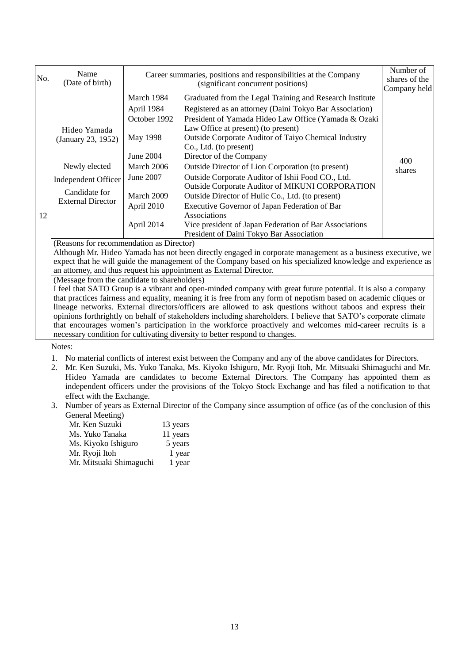| No. | Name<br>(Date of birth)                                                                                                 |                                                                                                                                        | Career summaries, positions and responsibilities at the Company<br>(significant concurrent positions)                                                                                                                                                                                                                                                                                                                                                                                                                                                                                                                                                                                                                          | Number of<br>shares of the<br>Company held |
|-----|-------------------------------------------------------------------------------------------------------------------------|----------------------------------------------------------------------------------------------------------------------------------------|--------------------------------------------------------------------------------------------------------------------------------------------------------------------------------------------------------------------------------------------------------------------------------------------------------------------------------------------------------------------------------------------------------------------------------------------------------------------------------------------------------------------------------------------------------------------------------------------------------------------------------------------------------------------------------------------------------------------------------|--------------------------------------------|
| 12  | Hideo Yamada<br>(January 23, 1952)<br>Newly elected<br>Independent Officer<br>Candidate for<br><b>External Director</b> | March 1984<br>April 1984<br>October 1992<br>May 1998<br>June 2004<br>March 2006<br>June 2007<br>March 2009<br>April 2010<br>April 2014 | Graduated from the Legal Training and Research Institute<br>Registered as an attorney (Daini Tokyo Bar Association)<br>President of Yamada Hideo Law Office (Yamada & Ozaki<br>Law Office at present) (to present)<br><b>Outside Corporate Auditor of Taiyo Chemical Industry</b><br>Co., Ltd. (to present)<br>Director of the Company<br>Outside Director of Lion Corporation (to present)<br>Outside Corporate Auditor of Ishii Food CO., Ltd.<br>Outside Corporate Auditor of MIKUNI CORPORATION<br>Outside Director of Hulic Co., Ltd. (to present)<br>Executive Governor of Japan Federation of Bar<br>Associations<br>Vice president of Japan Federation of Bar Associations<br>President of Daini Tokyo Bar Association | 400<br>shares                              |

(Reasons for recommendation as Director)

Although Mr. Hideo Yamada has not been directly engaged in corporate management as a business executive, we expect that he will guide the management of the Company based on his specialized knowledge and experience as an attorney, and thus request his appointment as External Director.

(Message from the candidate to shareholders)

I feel that SATO Group is a vibrant and open-minded company with great future potential. It is also a company that practices fairness and equality, meaning it is free from any form of nepotism based on academic cliques or lineage networks. External directors/officers are allowed to ask questions without taboos and express their opinions forthrightly on behalf of stakeholders including shareholders. I believe that SATO's corporate climate that encourages women's participation in the workforce proactively and welcomes mid-career recruits is a necessary condition for cultivating diversity to better respond to changes.

Notes:

- 1. No material conflicts of interest exist between the Company and any of the above candidates for Directors.
- 2. Mr. Ken Suzuki, Ms. Yuko Tanaka, Ms. Kiyoko Ishiguro, Mr. Ryoji Itoh, Mr. Mitsuaki Shimaguchi and Mr. Hideo Yamada are candidates to become External Directors. The Company has appointed them as independent officers under the provisions of the Tokyo Stock Exchange and has filed a notification to that effect with the Exchange.
- 3. Number of years as External Director of the Company since assumption of office (as of the conclusion of this General Meeting)

| Mr. Ken Suzuki          | 13 years |
|-------------------------|----------|
| Ms. Yuko Tanaka         | 11 years |
| Ms. Kiyoko Ishiguro     | 5 years  |
| Mr. Ryoji Itoh          | 1 year   |
| Mr. Mitsuaki Shimaguchi | 1 year   |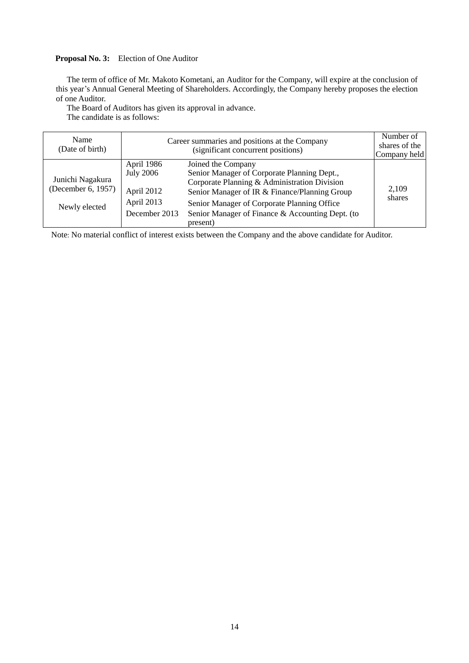## **Proposal No. 3:** Election of One Auditor

The term of office of Mr. Makoto Kometani, an Auditor for the Company, will expire at the conclusion of this year's Annual General Meeting of Shareholders. Accordingly, the Company hereby proposes the election of one Auditor.

The Board of Auditors has given its approval in advance. The candidate is as follows:

| Name<br>(Date of birth)                                 |                                                                             | Career summaries and positions at the Company<br>(significant concurrent positions)                                                                                                                                                                                               | Number of<br>shares of the<br>Company held |
|---------------------------------------------------------|-----------------------------------------------------------------------------|-----------------------------------------------------------------------------------------------------------------------------------------------------------------------------------------------------------------------------------------------------------------------------------|--------------------------------------------|
| Junichi Nagakura<br>(December 6, 1957)<br>Newly elected | April 1986<br><b>July 2006</b><br>April 2012<br>April 2013<br>December 2013 | Joined the Company<br>Senior Manager of Corporate Planning Dept.,<br>Corporate Planning & Administration Division<br>Senior Manager of IR & Finance/Planning Group<br>Senior Manager of Corporate Planning Office<br>Senior Manager of Finance & Accounting Dept. (to<br>present) | 2,109<br>shares                            |

Note: No material conflict of interest exists between the Company and the above candidate for Auditor.